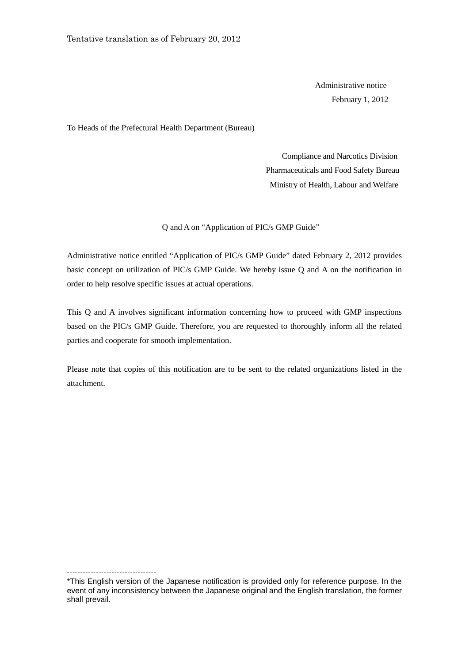Administrative notice February 1, 2012

To Heads of the Prefectural Health Department (Bureau)

 Compliance and Narcotics Division Pharmaceuticals and Food Safety Bureau Ministry of Health, Labour and Welfare

Q and A on "Application of PIC/s GMP Guide"

Administrative notice entitled "Application of PIC/s GMP Guide" dated February 2, 2012 provides basic concept on utilization of PIC/s GMP Guide. We hereby issue Q and A on the notification in order to help resolve specific issues at actual operations.

This Q and A involves significant information concerning how to proceed with GMP inspections based on the PIC/s GMP Guide. Therefore, you are requested to thoroughly inform all the related parties and cooperate for smooth implementation.

Please note that copies of this notification are to be sent to the related organizations listed in the attachment.

----------------------------------

<sup>\*</sup>This English version of the Japanese notification is provided only for reference purpose. In the event of any inconsistency between the Japanese original and the English translation, the former shall prevail.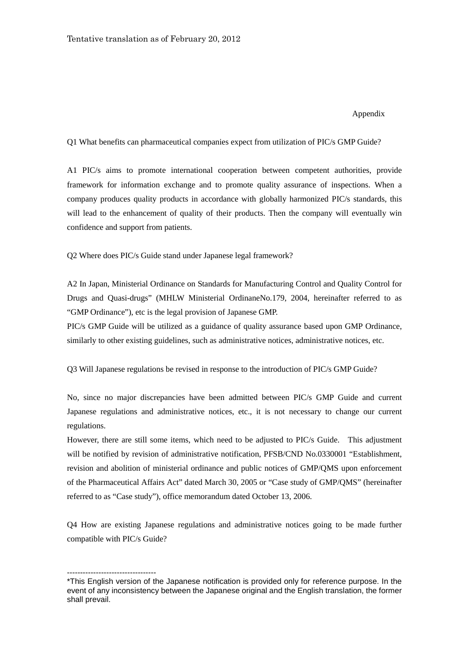## Appendix

Q1 What benefits can pharmaceutical companies expect from utilization of PIC/s GMP Guide?

A1 PIC/s aims to promote international cooperation between competent authorities, provide framework for information exchange and to promote quality assurance of inspections. When a company produces quality products in accordance with globally harmonized PIC/s standards, this will lead to the enhancement of quality of their products. Then the company will eventually win confidence and support from patients.

Q2 Where does PIC/s Guide stand under Japanese legal framework?

A2 In Japan, Ministerial Ordinance on Standards for Manufacturing Control and Quality Control for Drugs and Quasi-drugs" (MHLW Ministerial OrdinaneNo.179, 2004, hereinafter referred to as "GMP Ordinance"), etc is the legal provision of Japanese GMP.

PIC/s GMP Guide will be utilized as a guidance of quality assurance based upon GMP Ordinance, similarly to other existing guidelines, such as administrative notices, administrative notices, etc.

Q3 Will Japanese regulations be revised in response to the introduction of PIC/s GMP Guide?

No, since no major discrepancies have been admitted between PIC/s GMP Guide and current Japanese regulations and administrative notices, etc., it is not necessary to change our current regulations.

However, there are still some items, which need to be adjusted to PIC/s Guide. This adjustment will be notified by revision of administrative notification, PFSB/CND No.0330001 "Establishment, revision and abolition of ministerial ordinance and public notices of GMP/QMS upon enforcement of the Pharmaceutical Affairs Act" dated March 30, 2005 or "Case study of GMP/QMS" (hereinafter referred to as "Case study"), office memorandum dated October 13, 2006.

Q4 How are existing Japanese regulations and administrative notices going to be made further compatible with PIC/s Guide?

----------------------------------

<sup>\*</sup>This English version of the Japanese notification is provided only for reference purpose. In the event of any inconsistency between the Japanese original and the English translation, the former shall prevail.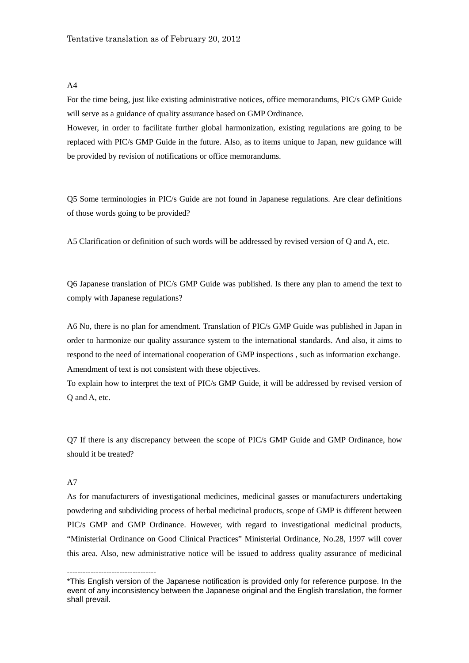$\overline{A4}$ 

For the time being, just like existing administrative notices, office memorandums, PIC/s GMP Guide will serve as a guidance of quality assurance based on GMP Ordinance.

However, in order to facilitate further global harmonization, existing regulations are going to be replaced with PIC/s GMP Guide in the future. Also, as to items unique to Japan, new guidance will be provided by revision of notifications or office memorandums.

Q5 Some terminologies in PIC/s Guide are not found in Japanese regulations. Are clear definitions of those words going to be provided?

A5 Clarification or definition of such words will be addressed by revised version of Q and A, etc.

Q6 Japanese translation of PIC/s GMP Guide was published. Is there any plan to amend the text to comply with Japanese regulations?

A6 No, there is no plan for amendment. Translation of PIC/s GMP Guide was published in Japan in order to harmonize our quality assurance system to the international standards. And also, it aims to respond to the need of international cooperation of GMP inspections , such as information exchange. Amendment of text is not consistent with these objectives.

To explain how to interpret the text of PIC/s GMP Guide, it will be addressed by revised version of Q and A, etc.

Q7 If there is any discrepancy between the scope of PIC/s GMP Guide and GMP Ordinance, how should it be treated?

## A7

----------------------------------

As for manufacturers of investigational medicines, medicinal gasses or manufacturers undertaking powdering and subdividing process of herbal medicinal products, scope of GMP is different between PIC/s GMP and GMP Ordinance. However, with regard to investigational medicinal products, "Ministerial Ordinance on Good Clinical Practices" Ministerial Ordinance, No.28, 1997 will cover this area. Also, new administrative notice will be issued to address quality assurance of medicinal

<sup>\*</sup>This English version of the Japanese notification is provided only for reference purpose. In the event of any inconsistency between the Japanese original and the English translation, the former shall prevail.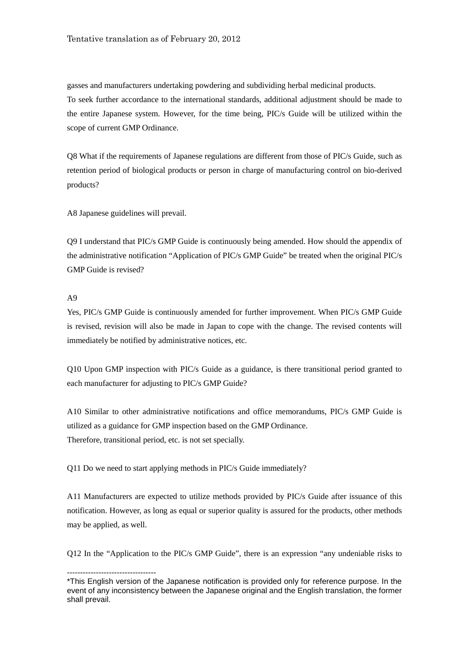gasses and manufacturers undertaking powdering and subdividing herbal medicinal products. To seek further accordance to the international standards, additional adjustment should be made to the entire Japanese system. However, for the time being, PIC/s Guide will be utilized within the scope of current GMP Ordinance.

Q8 What if the requirements of Japanese regulations are different from those of PIC/s Guide, such as retention period of biological products or person in charge of manufacturing control on bio-derived products?

A8 Japanese guidelines will prevail.

Q9 I understand that PIC/s GMP Guide is continuously being amended. How should the appendix of the administrative notification "Application of PIC/s GMP Guide" be treated when the original PIC/s GMP Guide is revised?

## A9

Yes, PIC/s GMP Guide is continuously amended for further improvement. When PIC/s GMP Guide is revised, revision will also be made in Japan to cope with the change. The revised contents will immediately be notified by administrative notices, etc.

Q10 Upon GMP inspection with PIC/s Guide as a guidance, is there transitional period granted to each manufacturer for adjusting to PIC/s GMP Guide?

A10 Similar to other administrative notifications and office memorandums, PIC/s GMP Guide is utilized as a guidance for GMP inspection based on the GMP Ordinance. Therefore, transitional period, etc. is not set specially.

Q11 Do we need to start applying methods in PIC/s Guide immediately?

A11 Manufacturers are expected to utilize methods provided by PIC/s Guide after issuance of this notification. However, as long as equal or superior quality is assured for the products, other methods may be applied, as well.

Q12 In the "Application to the PIC/s GMP Guide", there is an expression "any undeniable risks to

<sup>----------------------------------</sup> \*This English version of the Japanese notification is provided only for reference purpose. In the event of any inconsistency between the Japanese original and the English translation, the former shall prevail.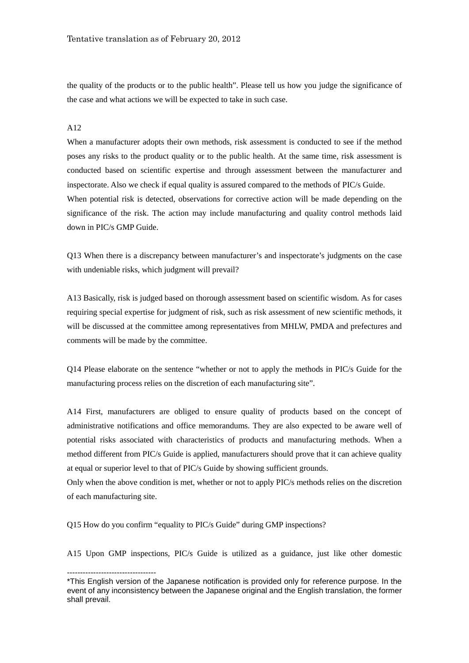the quality of the products or to the public health". Please tell us how you judge the significance of the case and what actions we will be expected to take in such case.

## A12

When a manufacturer adopts their own methods, risk assessment is conducted to see if the method poses any risks to the product quality or to the public health. At the same time, risk assessment is conducted based on scientific expertise and through assessment between the manufacturer and inspectorate. Also we check if equal quality is assured compared to the methods of PIC/s Guide. When potential risk is detected, observations for corrective action will be made depending on the significance of the risk. The action may include manufacturing and quality control methods laid down in PIC/s GMP Guide.

Q13 When there is a discrepancy between manufacturer's and inspectorate's judgments on the case with undeniable risks, which judgment will prevail?

A13 Basically, risk is judged based on thorough assessment based on scientific wisdom. As for cases requiring special expertise for judgment of risk, such as risk assessment of new scientific methods, it will be discussed at the committee among representatives from MHLW, PMDA and prefectures and comments will be made by the committee.

Q14 Please elaborate on the sentence "whether or not to apply the methods in PIC/s Guide for the manufacturing process relies on the discretion of each manufacturing site".

A14 First, manufacturers are obliged to ensure quality of products based on the concept of administrative notifications and office memorandums. They are also expected to be aware well of potential risks associated with characteristics of products and manufacturing methods. When a method different from PIC/s Guide is applied, manufacturers should prove that it can achieve quality at equal or superior level to that of PIC/s Guide by showing sufficient grounds.

Only when the above condition is met, whether or not to apply PIC/s methods relies on the discretion of each manufacturing site.

Q15 How do you confirm "equality to PIC/s Guide" during GMP inspections?

----------------------------------

A15 Upon GMP inspections, PIC/s Guide is utilized as a guidance, just like other domestic

<sup>\*</sup>This English version of the Japanese notification is provided only for reference purpose. In the event of any inconsistency between the Japanese original and the English translation, the former shall prevail.